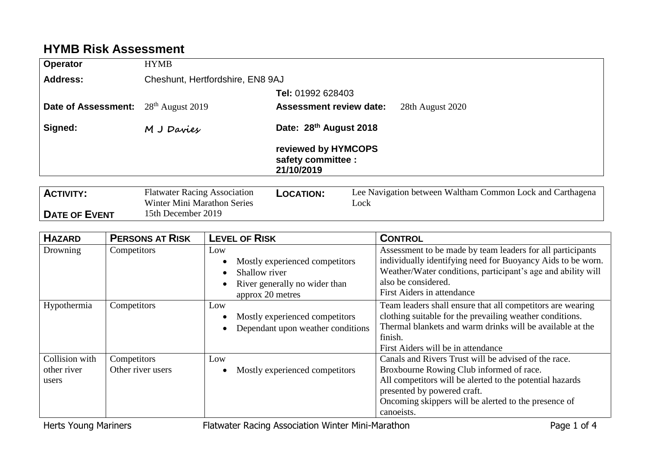## **HYMB Risk Assessment**

| Operator                                                | <b>HYMB</b>                      |                                                         |
|---------------------------------------------------------|----------------------------------|---------------------------------------------------------|
| <b>Address:</b>                                         | Cheshunt, Hertfordshire, EN8 9AJ |                                                         |
|                                                         |                                  | Tel: 01992 628403                                       |
| <b>Date of Assessment:</b> 28 <sup>th</sup> August 2019 |                                  | <b>Assessment review date:</b><br>28th August 2020      |
| Signed:                                                 | M J Davies                       | Date: 28th August 2018                                  |
|                                                         |                                  | reviewed by HYMCOPS<br>safety committee :<br>21/10/2019 |
| $\sim$ $\sim$                                           |                                  | --- - - -                                               |

| <b>ACTIVITY:</b>     | <b>Flatwater Racing Association</b> | <b>LOCATION:</b> | Lee Navigation between Waltham Common Lock and Carthagena |
|----------------------|-------------------------------------|------------------|-----------------------------------------------------------|
|                      | Winter Mini Marathon Series         |                  | _ock                                                      |
| <b>DATE OF EVENT</b> | 15th December 2019                  |                  |                                                           |

| <b>HAZARD</b>                          | <b>PERSONS AT RISK</b>           | <b>LEVEL OF RISK</b>                                                                                        | <b>CONTROL</b>                                                                                                                                                                                                                                                    |
|----------------------------------------|----------------------------------|-------------------------------------------------------------------------------------------------------------|-------------------------------------------------------------------------------------------------------------------------------------------------------------------------------------------------------------------------------------------------------------------|
| Drowning                               | Competitors                      | Low<br>Mostly experienced competitors<br>Shallow river<br>River generally no wider than<br>approx 20 metres | Assessment to be made by team leaders for all participants<br>individually identifying need for Buoyancy Aids to be worn.<br>Weather/Water conditions, participant's age and ability will<br>also be considered.<br>First Aiders in attendance                    |
| Hypothermia                            | Competitors                      | Low<br>Mostly experienced competitors<br>Dependant upon weather conditions                                  | Team leaders shall ensure that all competitors are wearing<br>clothing suitable for the prevailing weather conditions.<br>Thermal blankets and warm drinks will be available at the<br>finish.<br>First Aiders will be in attendance                              |
| Collision with<br>other river<br>users | Competitors<br>Other river users | Low<br>Mostly experienced competitors                                                                       | Canals and Rivers Trust will be advised of the race.<br>Broxbourne Rowing Club informed of race.<br>All competitors will be alerted to the potential hazards<br>presented by powered craft.<br>Oncoming skippers will be alerted to the presence of<br>canoeists. |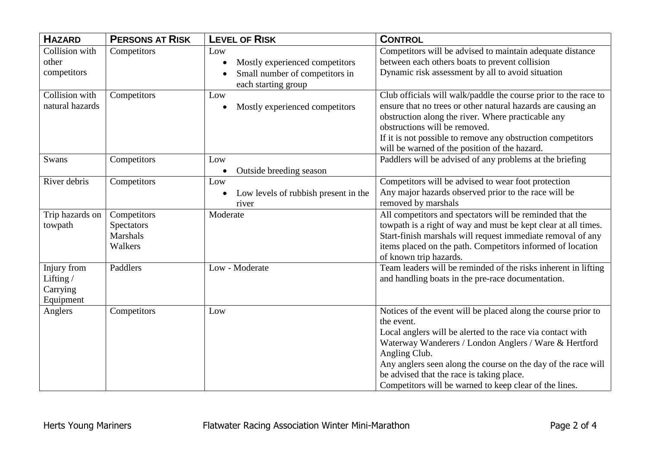| <b>HAZARD</b>   | <b>PERSONS AT RISK</b> | <b>LEVEL OF RISK</b>                              | <b>CONTROL</b>                                                                                                      |
|-----------------|------------------------|---------------------------------------------------|---------------------------------------------------------------------------------------------------------------------|
| Collision with  | Competitors            | Low                                               | Competitors will be advised to maintain adequate distance                                                           |
| other           |                        | Mostly experienced competitors                    | between each others boats to prevent collision                                                                      |
| competitors     |                        | Small number of competitors in                    | Dynamic risk assessment by all to avoid situation                                                                   |
|                 |                        | each starting group                               |                                                                                                                     |
| Collision with  | Competitors            | Low                                               | Club officials will walk/paddle the course prior to the race to                                                     |
| natural hazards |                        | Mostly experienced competitors                    | ensure that no trees or other natural hazards are causing an                                                        |
|                 |                        |                                                   | obstruction along the river. Where practicable any                                                                  |
|                 |                        |                                                   | obstructions will be removed.                                                                                       |
|                 |                        |                                                   | If it is not possible to remove any obstruction competitors                                                         |
|                 |                        |                                                   | will be warned of the position of the hazard.                                                                       |
| Swans           | Competitors            | Low                                               | Paddlers will be advised of any problems at the briefing                                                            |
| River debris    | Competitors            | Outside breeding season<br>$\bullet$<br>Low       | Competitors will be advised to wear foot protection                                                                 |
|                 |                        | Low levels of rubbish present in the<br>$\bullet$ | Any major hazards observed prior to the race will be                                                                |
|                 |                        | river                                             | removed by marshals                                                                                                 |
| Trip hazards on | Competitors            | Moderate                                          | All competitors and spectators will be reminded that the                                                            |
| towpath         | Spectators             |                                                   | towpath is a right of way and must be kept clear at all times.                                                      |
|                 | <b>Marshals</b>        |                                                   | Start-finish marshals will request immediate removal of any                                                         |
|                 | Walkers                |                                                   | items placed on the path. Competitors informed of location                                                          |
|                 |                        |                                                   | of known trip hazards.                                                                                              |
| Injury from     | Paddlers               | Low - Moderate                                    | Team leaders will be reminded of the risks inherent in lifting                                                      |
| Lifting/        |                        |                                                   | and handling boats in the pre-race documentation.                                                                   |
| Carrying        |                        |                                                   |                                                                                                                     |
| Equipment       |                        |                                                   |                                                                                                                     |
| Anglers         | Competitors            | Low                                               | Notices of the event will be placed along the course prior to                                                       |
|                 |                        |                                                   | the event.                                                                                                          |
|                 |                        |                                                   | Local anglers will be alerted to the race via contact with<br>Waterway Wanderers / London Anglers / Ware & Hertford |
|                 |                        |                                                   | Angling Club.                                                                                                       |
|                 |                        |                                                   | Any anglers seen along the course on the day of the race will                                                       |
|                 |                        |                                                   | be advised that the race is taking place.                                                                           |
|                 |                        |                                                   | Competitors will be warned to keep clear of the lines.                                                              |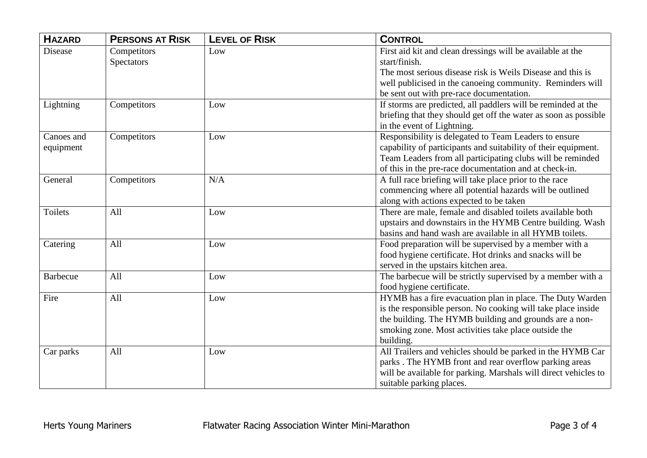| <b>HAZARD</b>   | <b>PERSONS AT RISK</b> | <b>LEVEL OF RISK</b> | <b>CONTROL</b>                                                  |
|-----------------|------------------------|----------------------|-----------------------------------------------------------------|
| <b>Disease</b>  | Competitors            | Low                  | First aid kit and clean dressings will be available at the      |
|                 | Spectators             |                      | start/finish.                                                   |
|                 |                        |                      | The most serious disease risk is Weils Disease and this is      |
|                 |                        |                      | well publicised in the canoeing community. Reminders will       |
|                 |                        |                      | be sent out with pre-race documentation.                        |
| Lightning       | Competitors            | Low                  | If storms are predicted, all paddlers will be reminded at the   |
|                 |                        |                      | briefing that they should get off the water as soon as possible |
|                 |                        |                      | in the event of Lightning.                                      |
| Canoes and      | Competitors            | Low                  | Responsibility is delegated to Team Leaders to ensure           |
| equipment       |                        |                      | capability of participants and suitability of their equipment.  |
|                 |                        |                      | Team Leaders from all participating clubs will be reminded      |
|                 |                        |                      | of this in the pre-race documentation and at check-in.          |
| General         | Competitors            | N/A                  | A full race briefing will take place prior to the race          |
|                 |                        |                      | commencing where all potential hazards will be outlined         |
|                 |                        |                      | along with actions expected to be taken                         |
| <b>Toilets</b>  | All                    | Low                  | There are male, female and disabled toilets available both      |
|                 |                        |                      | upstairs and downstairs in the HYMB Centre building. Wash       |
|                 |                        |                      | basins and hand wash are available in all HYMB toilets.         |
| Catering        | All                    | Low                  | Food preparation will be supervised by a member with a          |
|                 |                        |                      | food hygiene certificate. Hot drinks and snacks will be         |
|                 |                        |                      | served in the upstairs kitchen area.                            |
| <b>Barbecue</b> | All                    | Low                  | The barbecue will be strictly supervised by a member with a     |
|                 |                        |                      | food hygiene certificate.                                       |
| Fire            | All                    | Low                  | HYMB has a fire evacuation plan in place. The Duty Warden       |
|                 |                        |                      | is the responsible person. No cooking will take place inside    |
|                 |                        |                      | the building. The HYMB building and grounds are a non-          |
|                 |                        |                      | smoking zone. Most activities take place outside the            |
|                 |                        |                      | building.                                                       |
| Car parks       | All                    | Low                  | All Trailers and vehicles should be parked in the HYMB Car      |
|                 |                        |                      | parks . The HYMB front and rear overflow parking areas          |
|                 |                        |                      | will be available for parking. Marshals will direct vehicles to |
|                 |                        |                      | suitable parking places.                                        |